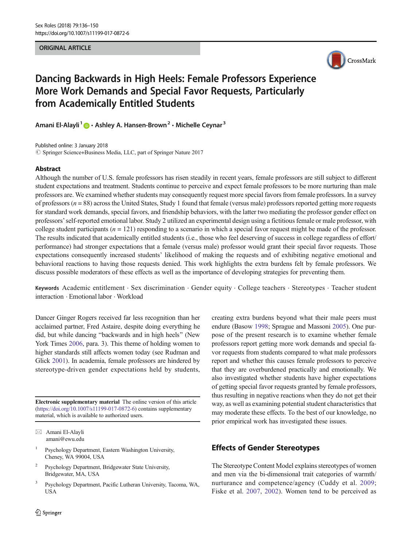#### ORIGINAL ARTICLE



# Dancing Backwards in High Heels: Female Professors Experience More Work Demands and Special Favor Requests, Particularly from Academically Entitled Students

Amani El-Alayli<sup>1</sup>  $\bigcirc$  · Ashley A. Hansen-Brown<sup>2</sup> · Michelle Ceynar<sup>3</sup>

Published online: 3 January 2018 © Springer Science+Business Media, LLC, part of Springer Nature 2017

## Abstract

Although the number of U.S. female professors has risen steadily in recent years, female professors are still subject to different student expectations and treatment. Students continue to perceive and expect female professors to be more nurturing than male professors are. We examined whether students may consequently request more special favors from female professors. In a survey of professors ( $n = 88$ ) across the United States, Study 1 found that female (versus male) professors reported getting more requests for standard work demands, special favors, and friendship behaviors, with the latter two mediating the professor gender effect on professors'self-reported emotional labor. Study 2 utilized an experimental design using a fictitious female or male professor, with college student participants ( $n = 121$ ) responding to a scenario in which a special favor request might be made of the professor. The results indicated that academically entitled students (i.e., those who feel deserving of success in college regardless of effort/ performance) had stronger expectations that a female (versus male) professor would grant their special favor requests. Those expectations consequently increased students' likelihood of making the requests and of exhibiting negative emotional and behavioral reactions to having those requests denied. This work highlights the extra burdens felt by female professors. We discuss possible moderators of these effects as well as the importance of developing strategies for preventing them.

Keywords Academic entitlement . Sex discrimination . Gender equity . College teachers . Stereotypes . Teacher student interaction . Emotional labor . Workload

Dancer Ginger Rogers received far less recognition than her acclaimed partner, Fred Astaire, despite doing everything he did, but while dancing "backwards and in high heels" (New York Times [2006](#page-14-0), para. 3). This theme of holding women to higher standards still affects women today (see Rudman and Glick [2001](#page-14-0)). In academia, female professors are hindered by stereotype-driven gender expectations held by students,

Electronic supplementary material The online version of this article ([https://doi.org/10.1007/s11199-017-0872-6\)](https://doi.org/10.1007/s11199-017-0872-6) contains supplementary material, which is available to authorized users.

- Psychology Department, Eastern Washington University, Cheney, WA 99004, USA
- <sup>2</sup> Psychology Department, Bridgewater State University, Bridgewater, MA, USA
- <sup>3</sup> Psychology Department, Pacific Lutheran University, Tacoma, WA, USA

creating extra burdens beyond what their male peers must endure (Basow [1998;](#page-13-0) Sprague and Massoni [2005](#page-14-0)). One purpose of the present research is to examine whether female professors report getting more work demands and special favor requests from students compared to what male professors report and whether this causes female professors to perceive that they are overburdened practically and emotionally. We also investigated whether students have higher expectations of getting special favor requests granted by female professors, thus resulting in negative reactions when they do not get their way, as well as examining potential student characteristics that may moderate these effects. To the best of our knowledge, no prior empirical work has investigated these issues.

# Effects of Gender Stereotypes

The Stereotype Content Model explains stereotypes of women and men via the bi-dimensional trait categories of warmth/ nurturance and competence/agency (Cuddy et al. [2009;](#page-13-0) Fiske et al. [2007](#page-13-0), [2002\)](#page-13-0). Women tend to be perceived as

 $\boxtimes$  Amani El-Alayli [amani@ewu.edu](mailto:amani@ewu.edu)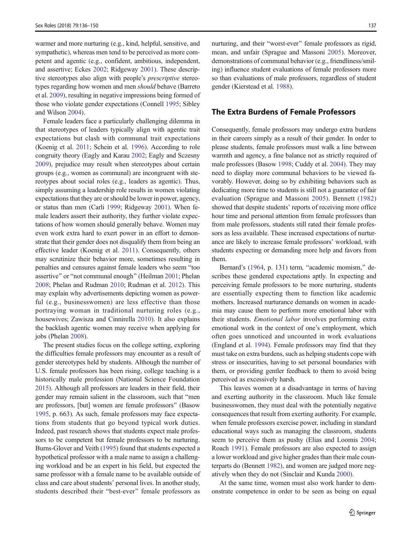warmer and more nurturing (e.g., kind, helpful, sensitive, and sympathetic), whereas men tend to be perceived as more competent and agentic (e.g., confident, ambitious, independent, and assertive; Eckes [2002](#page-13-0); Ridgeway [2001\)](#page-14-0). These descriptive stereotypes also align with people's prescriptive stereotypes regarding how women and men should behave (Barreto et al. [2009](#page-13-0)), resulting in negative impressions being formed of those who violate gender expectations (Connell [1995;](#page-13-0) Sibley and Wilson [2004\)](#page-14-0).

Female leaders face a particularly challenging dilemma in that stereotypes of leaders typically align with agentic trait expectations but clash with communal trait expectations (Koenig et al. [2011](#page-14-0); Schein et al. [1996\)](#page-14-0). According to role congruity theory (Eagly and Karau [2002;](#page-13-0) Eagly and Sczesny [2009\)](#page-13-0), prejudice may result when stereotypes about certain groups (e.g., women as communal) are incongruent with stereotypes about social roles (e.g., leaders as agentic). Thus, simply assuming a leadership role results in women violating expectations that they are or should be lower in power, agency, or status than men (Carli [1999;](#page-13-0) Ridgeway [2001\)](#page-14-0). When female leaders assert their authority, they further violate expectations of how women should generally behave. Women may even work extra hard to exert power in an effort to demonstrate that their gender does not disqualify them from being an effective leader (Koenig et al. [2011\)](#page-14-0). Consequently, others may scrutinize their behavior more, sometimes resulting in penalties and censures against female leaders who seem "too assertive" or "not communal enough" (Heilman [2001;](#page-14-0) Phelan [2008;](#page-14-0) Phelan and Rudman [2010](#page-14-0); Rudman et al. [2012](#page-14-0)). This may explain why advertisements depicting women as powerful (e.g., businesswomen) are less effective than those portraying woman in traditional nurturing roles (e.g., housewives; Zawisza and Cinnirella [2010\)](#page-14-0). It also explains the backlash agentic women may receive when applying for jobs (Phelan [2008\)](#page-14-0).

The present studies focus on the college setting, exploring the difficulties female professors may encounter as a result of gender stereotypes held by students. Although the number of U.S. female professors has been rising, college teaching is a historically male profession (National Science Foundation [2015\)](#page-14-0). Although all professors are leaders in their field, their gender may remain salient in the classroom, such that "men are professors, [but] women are female professors^ (Basow [1995,](#page-13-0) p. 663). As such, female professors may face expectations from students that go beyond typical work duties. Indeed, past research shows that students expect male professors to be competent but female professors to be nurturing. Burns-Glover and Veith [\(1995\)](#page-13-0) found that students expected a hypothetical professor with a male name to assign a challenging workload and be an expert in his field, but expected the same professor with a female name to be available outside of class and care about students' personal lives. In another study, students described their "best-ever" female professors as

nurturing, and their "worst-ever" female professors as rigid, mean, and unfair (Sprague and Massoni [2005\)](#page-14-0). Moreover, demonstrations of communal behavior (e.g., friendliness/smiling) influence student evaluations of female professors more so than evaluations of male professors, regardless of student gender (Kierstead et al. [1988\)](#page-14-0).

## The Extra Burdens of Female Professors

Consequently, female professors may undergo extra burdens in their careers simply as a result of their gender. In order to please students, female professors must walk a line between warmth and agency, a fine balance not as strictly required of male professors (Basow [1998;](#page-13-0) Cuddy et al. [2004\)](#page-13-0). They may need to display more communal behaviors to be viewed favorably. However, doing so by exhibiting behaviors such as dedicating more time to students is still not a guarantee of fair evaluation (Sprague and Massoni [2005](#page-14-0)). Bennett [\(1982\)](#page-13-0) showed that despite students' reports of receiving more office hour time and personal attention from female professors than from male professors, students still rated their female professors as less available. These increased expectations of nurturance are likely to increase female professors' workload, with students expecting or demanding more help and favors from them.

Bernard's ([1964](#page-13-0), p. 131) term, "academic momism," describes these gendered expectations aptly. In expecting and perceiving female professors to be more nurturing, students are essentially expecting them to function like academic mothers. Increased nurturance demands on women in academia may cause them to perform more emotional labor with their students. Emotional labor involves performing extra emotional work in the context of one's employment, which often goes unnoticed and uncounted in work evaluations (England et al. [1994](#page-13-0)). Female professors may find that they must take on extra burdens, such as helping students cope with stress or insecurities, having to set personal boundaries with them, or providing gentler feedback to them to avoid being perceived as excessively harsh.

This leaves women at a disadvantage in terms of having and exerting authority in the classroom. Much like female businesswomen, they must deal with the potentially negative consequences that result from exerting authority. For example, when female professors exercise power, including in standard educational ways such as managing the classroom, students seem to perceive them as pushy (Elias and Loomis [2004;](#page-13-0) Roach [1991\)](#page-14-0). Female professors are also expected to assign a lower workload and give higher grades than their male counterparts do (Bennett [1982](#page-13-0)), and women are judged more negatively when they do not (Sinclair and Kunda [2000](#page-14-0)).

At the same time, women must also work harder to demonstrate competence in order to be seen as being on equal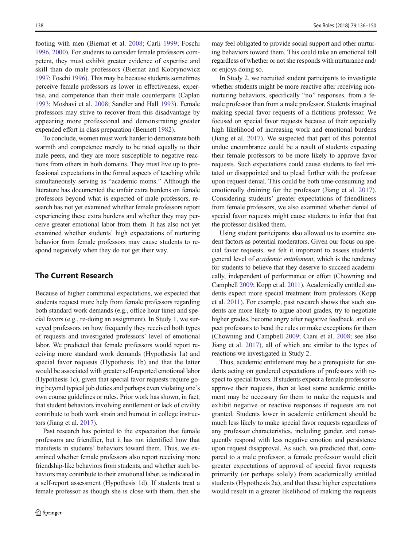footing with men (Biernat et al. [2008](#page-13-0); Carli [1999](#page-13-0); Foschi [1996,](#page-13-0) [2000](#page-13-0)). For students to consider female professors competent, they must exhibit greater evidence of expertise and skill than do male professors (Biernat and Kobrynowicz [1997;](#page-13-0) Foschi [1996](#page-13-0)). This may be because students sometimes perceive female professors as lower in effectiveness, expertise, and competence than their male counterparts (Caplan [1993;](#page-13-0) Moshavi et al. [2008](#page-14-0); Sandler and Hall [1993\)](#page-14-0). Female professors may strive to recover from this disadvantage by appearing more professional and demonstrating greater expended effort in class preparation (Bennett [1982](#page-13-0)).

To conclude, women must work harder to demonstrate both warmth and competence merely to be rated equally to their male peers, and they are more susceptible to negative reactions from others in both domains. They must live up to professional expectations in the formal aspects of teaching while simultaneously serving as "academic moms." Although the literature has documented the unfair extra burdens on female professors beyond what is expected of male professors, research has not yet examined whether female professors report experiencing these extra burdens and whether they may perceive greater emotional labor from them. It has also not yet examined whether students' high expectations of nurturing behavior from female professors may cause students to respond negatively when they do not get their way.

# The Current Research

Because of higher communal expectations, we expected that students request more help from female professors regarding both standard work demands (e.g., office hour time) and special favors (e.g., re-doing an assignment). In Study 1, we surveyed professors on how frequently they received both types of requests and investigated professors' level of emotional labor. We predicted that female professors would report receiving more standard work demands (Hypothesis 1a) and special favor requests (Hypothesis 1b) and that the latter would be associated with greater self-reported emotional labor (Hypothesis 1c), given that special favor requests require going beyond typical job duties and perhaps even violating one's own course guidelines or rules. Prior work has shown, in fact, that student behaviors involving entitlement or lack of civility contribute to both work strain and burnout in college instructors (Jiang et al. [2017](#page-14-0)).

Past research has pointed to the expectation that female professors are friendlier, but it has not identified how that manifests in students' behaviors toward them. Thus, we examined whether female professors also report receiving more friendship-like behaviors from students, and whether such behaviors may contribute to their emotional labor, as indicated in a self-report assessment (Hypothesis 1d). If students treat a female professor as though she is close with them, then she

may feel obligated to provide social support and other nurturing behaviors toward them. This could take an emotional toll regardless of whether or not she responds with nurturance and/ or enjoys doing so.

In Study 2, we recruited student participants to investigate whether students might be more reactive after receiving nonnurturing behaviors, specifically "no" responses, from a female professor than from a male professor. Students imagined making special favor requests of a fictitious professor. We focused on special favor requests because of their especially high likelihood of increasing work and emotional burdens (Jiang et al. [2017\)](#page-14-0). We suspected that part of this potential undue encumbrance could be a result of students expecting their female professors to be more likely to approve favor requests. Such expectations could cause students to feel irritated or disappointed and to plead further with the professor upon request denial. This could be both time-consuming and emotionally draining for the professor (Jiang et al. [2017\)](#page-14-0). Considering students' greater expectations of friendliness from female professors, we also examined whether denial of special favor requests might cause students to infer that that the professor disliked them.

Using student participants also allowed us to examine student factors as potential moderators. Given our focus on special favor requests, we felt it important to assess students' general level of academic entitlement, which is the tendency for students to believe that they deserve to succeed academically, independent of performance or effort (Chowning and Campbell [2009;](#page-13-0) Kopp et al. [2011\)](#page-14-0). Academically entitled students expect more special treatment from professors (Kopp et al. [2011\)](#page-14-0). For example, past research shows that such students are more likely to argue about grades, try to negotiate higher grades, become angry after negative feedback, and expect professors to bend the rules or make exceptions for them (Chowning and Campbell [2009](#page-13-0); Ciani et al. [2008](#page-13-0); see also Jiang et al. [2017\)](#page-14-0), all of which are similar to the types of reactions we investigated in Study 2.

Thus, academic entitlement may be a prerequisite for students acting on gendered expectations of professors with respect to special favors. If students expect a female professor to approve their requests, then at least some academic entitlement may be necessary for them to make the requests and exhibit negative or reactive responses if requests are not granted. Students lower in academic entitlement should be much less likely to make special favor requests regardless of any professor characteristics, including gender, and consequently respond with less negative emotion and persistence upon request disapproval. As such, we predicted that, compared to a male professor, a female professor would elicit greater expectations of approval of special favor requests primarily (or perhaps solely) from academically entitled students (Hypothesis 2a), and that these higher expectations would result in a greater likelihood of making the requests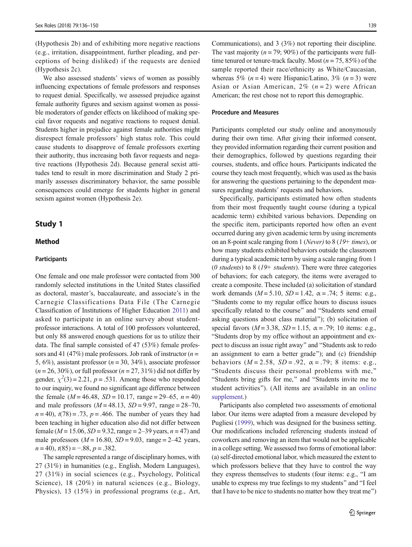(Hypothesis 2b) and of exhibiting more negative reactions (e.g., irritation, disappointment, further pleading, and perceptions of being disliked) if the requests are denied (Hypothesis 2c).

We also assessed students' views of women as possibly influencing expectations of female professors and responses to request denial. Specifically, we assessed prejudice against female authority figures and sexism against women as possible moderators of gender effects on likelihood of making special favor requests and negative reactions to request denial. Students higher in prejudice against female authorities might disrespect female professors' high status role. This could cause students to disapprove of female professors exerting their authority, thus increasing both favor requests and negative reactions (Hypothesis 2d). Because general sexist attitudes tend to result in more discrimination and Study 2 primarily assesses discriminatory behavior, the same possible consequences could emerge for students higher in general sexism against women (Hypothesis 2e).

# Study 1

# Method

## **Participants**

One female and one male professor were contacted from 300 randomly selected institutions in the United States classified as doctoral, master's, baccalaureate, and associate's in the Carnegie Classifications Data File (The Carnegie Classification of Institutions of Higher Education [2011](#page-14-0)) and asked to participate in an online survey about studentprofessor interactions. A total of 100 professors volunteered, but only 88 answered enough questions for us to utilize their data. The final sample consisted of 47 (53%) female professors and 41 (47%) male professors. Job rank of instructor  $(n =$ 5, 6%), assistant professor ( $n = 30, 34%$ ), associate professor  $(n = 26, 30\%)$ , or full professor  $(n = 27, 31\%)$  did not differ by gender,  $\chi^2(3) = 2.21$ ,  $p = .531$ . Among those who responded to our inquiry, we found no significant age difference between the female ( $M = 46.48$ ,  $SD = 10.17$ , range = 29–65,  $n = 40$ ) and male professors  $(M = 48.13, SD = 9.97, range = 28-70,$  $n = 40$ ,  $t(78) = .73$ ,  $p = .466$ . The number of years they had been teaching in higher education also did not differ between female ( $M = 15.06$ ,  $SD = 9.32$ , range = 2–39 years,  $n = 47$ ) and male professors  $(M = 16.80, SD = 9.03, range = 2-42 \text{ years},$  $n = 40$ ,  $t(85) = -.88$ ,  $p = .382$ .

The sample represented a range of disciplinary homes, with 27 (31%) in humanities (e.g., English, Modern Languages), 27 (31%) in social sciences (e.g., Psychology, Political Science), 18 (20%) in natural sciences (e.g., Biology, Physics), 13 (15%) in professional programs (e.g., Art, Communications), and 3 (3%) not reporting their discipline. The vast majority ( $n = 79$ ; 90%) of the participants were fulltime tenured or tenure-track faculty. Most ( $n = 75, 85\%$ ) of the sample reported their race/ethnicity as White/Caucasian, whereas 5%  $(n=4)$  were Hispanic/Latino, 3%  $(n=3)$  were Asian or Asian American,  $2\%$   $(n=2)$  were African American; the rest chose not to report this demographic.

### Procedure and Measures

Participants completed our study online and anonymously during their own time. After giving their informed consent, they provided information regarding their current position and their demographics, followed by questions regarding their courses, students, and office hours. Participants indicated the course they teach most frequently, which was used as the basis for answering the questions pertaining to the dependent measures regarding students' requests and behaviors.

Specifically, participants estimated how often students from their most frequently taught course (during a typical academic term) exhibited various behaviors. Depending on the specific item, participants reported how often an event occurred during any given academic term by using increments on an 8-point scale ranging from 1 (Never) to 8 (19+ times), or how many students exhibited behaviors outside the classroom during a typical academic term by using a scale ranging from 1 (0 students) to  $8(19+ students)$ . There were three categories of behaviors; for each category, the items were averaged to create a composite. These included (a) solicitation of standard work demands ( $M = 5.10$ ,  $SD = 1.42$ ,  $\alpha = .74$ ; 5 items: e.g., "Students come to my regular office hours to discuss issues specifically related to the course" and "Students send email asking questions about class material^); (b) solicitation of special favors ( $M = 3.38$ ,  $SD = 1.15$ ,  $\alpha = .79$ ; 10 items: e.g., "Students drop by my office without an appointment and expect to discuss an issue right away" and "Students ask to redo an assignment to earn a better grade"); and (c) friendship behaviors  $(M = 2.58, SD = .92, \alpha = .79; 8$  items: e.g., "Students discuss their personal problems with me," "Students bring gifts for me," and "Students invite me to student activities"). (All items are available in an online supplement.)

Participants also completed two assessments of emotional labor. Our items were adapted from a measure developed by Pugliesi [\(1999\)](#page-14-0), which was designed for the business setting. Our modifications included referencing students instead of coworkers and removing an item that would not be applicable in a college setting. We assessed two forms of emotional labor: (a) self-directed emotional labor, which measured the extent to which professors believe that they have to control the way they express themselves to students (four items: e.g., "I am unable to express my true feelings to my students" and "I feel that I have to be nice to students no matter how they treat me^)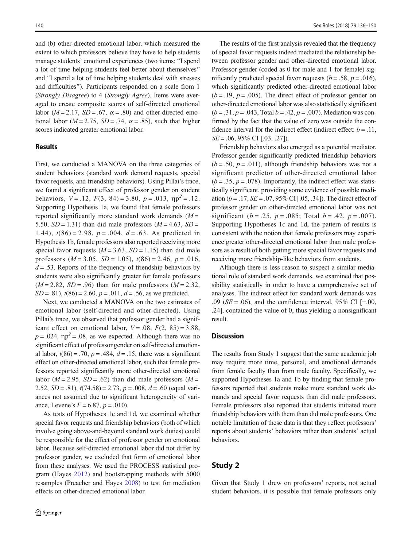and (b) other-directed emotional labor, which measured the extent to which professors believe they have to help students manage students' emotional experiences (two items: "I spend a lot of time helping students feel better about themselves" and "I spend a lot of time helping students deal with stresses and difficulties"). Participants responded on a scale from 1 (Strongly Disagree) to 4 (Strongly Agree). Items were averaged to create composite scores of self-directed emotional labor ( $M = 2.17$ ,  $SD = .67$ ,  $\alpha = .80$ ) and other-directed emotional labor ( $M = 2.75$ ,  $SD = .74$ ,  $\alpha = .85$ ), such that higher scores indicated greater emotional labor.

#### **Results**

First, we conducted a MANOVA on the three categories of student behaviors (standard work demand requests, special favor requests, and friendship behaviors). Using Pillai's trace, we found a significant effect of professor gender on student behaviors,  $V = .12$ ,  $F(3, 84) = 3.80$ ,  $p = .013$ ,  $\eta p^2 = .12$ . Supporting Hypothesis 1a, we found that female professors reported significantly more standard work demands  $(M =$ 5.50,  $SD = 1.31$ ) than did male professors ( $M = 4.63$ ,  $SD =$ 1.44),  $t(86) = 2.98$ ,  $p = .004$ ,  $d = .63$ . As predicted in Hypothesis 1b, female professors also reported receiving more special favor requests  $(M = 3.63, SD = 1.15)$  than did male professors  $(M = 3.05, SD = 1.05)$ ,  $t(86) = 2.46$ ,  $p = .016$ ,  $d = 0.53$ . Reports of the frequency of friendship behaviors by students were also significantly greater for female professors  $(M = 2.82, SD = .96)$  than for male professors  $(M = 2.32,$  $SD = .81$ ,  $t(86) = 2.60$ ,  $p = .011$ ,  $d = .56$ , as we predicted.

Next, we conducted a MANOVA on the two estimates of emotional labor (self-directed and other-directed). Using Pillai's trace, we observed that professor gender had a significant effect on emotional labor,  $V = .08$ ,  $F(2, 85) = 3.88$ ,  $p = .024$ ,  $\eta p^2 = .08$ , as we expected. Although there was no significant effect of professor gender on self-directed emotional labor,  $t(86) = .70$ ,  $p = .484$ ,  $d = .15$ , there was a significant effect on other-directed emotional labor, such that female professors reported significantly more other-directed emotional labor ( $M = 2.95$ ,  $SD = .62$ ) than did male professors ( $M =$ 2.52,  $SD = .81$ ),  $t(74.58) = 2.73$ ,  $p = .008$ ,  $d = .60$  (equal variances not assumed due to significant heterogeneity of variance, Levene's  $F = 6.87$ ,  $p = .010$ ).

As tests of Hypotheses 1c and 1d, we examined whether special favor requests and friendship behaviors (both of which involve going above-and-beyond standard work duties) could be responsible for the effect of professor gender on emotional labor. Because self-directed emotional labor did not differ by professor gender, we excluded that form of emotional labor from these analyses. We used the PROCESS statistical program (Hayes [2012\)](#page-14-0) and bootstrapping methods with 5000 resamples (Preacher and Hayes [2008\)](#page-14-0) to test for mediation effects on other-directed emotional labor.

The results of the first analysis revealed that the frequency of special favor requests indeed mediated the relationship between professor gender and other-directed emotional labor. Professor gender (coded as 0 for male and 1 for female) significantly predicted special favor requests ( $b = .58$ ,  $p = .016$ ), which significantly predicted other-directed emotional labor  $(b = .19, p = .005)$ . The direct effect of professor gender on other-directed emotional labor was also statistically significant  $(b = .31, p = .043, \text{Total } b = .42, p = .007)$ . Mediation was confirmed by the fact that the value of zero was outside the confidence interval for the indirect effect (indirect effect:  $b = .11$ ,  $SE = .06, 95\% \text{ CI}$  [.03, .27]).

Friendship behaviors also emerged as a potential mediator. Professor gender significantly predicted friendship behaviors  $(b = .50, p = .011)$ , although friendship behaviors was not a significant predictor of other-directed emotional labor  $(b = .35, p = .078)$ . Importantly, the indirect effect was statistically significant, providing some evidence of possible mediation ( $b = .17$ ,  $SE = .07$ ,  $95\%$  CI [.05, .34]). The direct effect of professor gender on other-directed emotional labor was not significant ( $b = .25$ ,  $p = .085$ ; Total  $b = .42$ ,  $p = .007$ ). Supporting Hypotheses 1c and 1d, the pattern of results is consistent with the notion that female professors may experience greater other-directed emotional labor than male professors as a result of both getting more special favor requests and receiving more friendship-like behaviors from students.

Although there is less reason to suspect a similar mediational role of standard work demands, we examined that possibility statistically in order to have a comprehensive set of analyses. The indirect effect for standard work demands was .09 ( $SE = .06$ ), and the confidence interval, 95% CI [−.00, .24], contained the value of 0, thus yielding a nonsignificant result.

## **Discussion**

The results from Study 1 suggest that the same academic job may require more time, personal, and emotional demands from female faculty than from male faculty. Specifically, we supported Hypotheses 1a and 1b by finding that female professors reported that students make more standard work demands and special favor requests than did male professors. Female professors also reported that students initiated more friendship behaviors with them than did male professors. One notable limitation of these data is that they reflect professors' reports about students' behaviors rather than students' actual behaviors.

# Study 2

Given that Study 1 drew on professors' reports, not actual student behaviors, it is possible that female professors only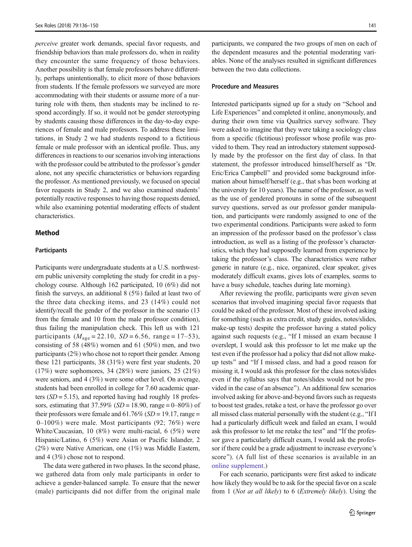perceive greater work demands, special favor requests, and friendship behaviors than male professors do, when in reality they encounter the same frequency of those behaviors. Another possibility is that female professors behave differently, perhaps unintentionally, to elicit more of those behaviors from students. If the female professors we surveyed are more accommodating with their students or assume more of a nurturing role with them, then students may be inclined to respond accordingly. If so, it would not be gender stereotyping by students causing those differences in the day-to-day experiences of female and male professors. To address these limitations, in Study 2 we had students respond to a fictitious female or male professor with an identical profile. Thus, any differences in reactions to our scenarios involving interactions with the professor could be attributed to the professor's gender alone, not any specific characteristics or behaviors regarding the professor. As mentioned previously, we focused on special favor requests in Study 2, and we also examined students' potentially reactive responses to having those requests denied, while also examining potential moderating effects of student characteristics.

## Method

#### **Participants**

Participants were undergraduate students at a U.S. northwestern public university completing the study for credit in a psychology course. Although 162 participated, 10 (6%) did not finish the surveys, an additional 8 (5%) failed at least two of the three data checking items, and 23 (14%) could not identify/recall the gender of the professor in the scenario (13 from the female and 10 from the male professor condition), thus failing the manipulation check. This left us with 121 participants ( $M_{\text{age}} = 22.10$ ,  $SD = 6.56$ , range = 17–53), consisting of 58 (48%) women and 61 (50%) men, and two participants (2%) who chose not to report their gender. Among these 121 participants, 38 (31%) were first year students, 20 (17%) were sophomores, 34 (28%) were juniors, 25 (21%) were seniors, and 4 (3%) were some other level. On average, students had been enrolled in college for 7.60 academic quarters  $(SD = 5.15)$ , and reported having had roughly 18 professors, estimating that  $37.59\%$  (SD = 18.90, range = 0–80%) of their professors were female and  $61.76\%$  (SD = 19.17, range = 0–100%) were male. Most participants (92; 76%) were White/Caucasian, 10 (8%) were multi-racial, 6 (5%) were Hispanic/Latino, 6 (5%) were Asian or Pacific Islander, 2 (2%) were Native American, one (1%) was Middle Eastern, and 4 (3%) chose not to respond.

The data were gathered in two phases. In the second phase, we gathered data from only male participants in order to achieve a gender-balanced sample. To ensure that the newer (male) participants did not differ from the original male participants, we compared the two groups of men on each of the dependent measures and the potential moderating variables. None of the analyses resulted in significant differences between the two data collections.

#### Procedure and Measures

Interested participants signed up for a study on "School and Life Experiences" and completed it online, anonymously, and during their own time via Qualtrics survey software. They were asked to imagine that they were taking a sociology class from a specific (fictitious) professor whose profile was provided to them. They read an introductory statement supposedly made by the professor on the first day of class. In that statement, the professor introduced himself/herself as "Dr. Eric/Erica Campbell^ and provided some background information about himself/herself (e.g., that s/has been working at the university for 10 years). The name of the professor, as well as the use of gendered pronouns in some of the subsequent survey questions, served as our professor gender manipulation, and participants were randomly assigned to one of the two experimental conditions. Participants were asked to form an impression of the professor based on the professor's class introduction, as well as a listing of the professor's characteristics, which they had supposedly learned from experience by taking the professor's class. The characteristics were rather generic in nature (e.g., nice, organized, clear speaker, gives moderately difficult exams, gives lots of examples, seems to have a busy schedule, teaches during late morning).

After reviewing the profile, participants were given seven scenarios that involved imagining special favor requests that could be asked of the professor. Most of these involved asking for something (such as extra credit, study guides, notes/slides, make-up tests) despite the professor having a stated policy against such requests (e.g., "If I missed an exam because I overslept, I would ask this professor to let me make up the test even if the professor had a policy that did not allow makeup tests" and "If I missed class, and had a good reason for missing it, I would ask this professor for the class notes/slides even if the syllabus says that notes/slides would not be provided in the case of an absence^). An additional few scenarios involved asking for above-and-beyond favors such as requests to boost test grades, retake a test, or have the professor go over all missed class material personally with the student (e.g., "If I had a particularly difficult week and failed an exam, I would ask this professor to let me retake the test" and "If the professor gave a particularly difficult exam, I would ask the professor if there could be a grade adjustment to increase everyone's score"). (A full list of these scenarios is available in an online supplement.)

For each scenario, participants were first asked to indicate how likely they would be to ask for the special favor on a scale from 1 (Not at all likely) to 6 (Extremely likely). Using the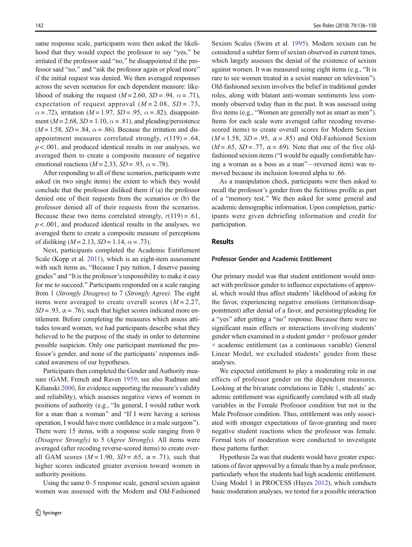same response scale, participants were then asked the likelihood that they would expect the professor to say "yes," be irritated if the professor said "no," be disappointed if the professor said "no," and "ask the professor again or plead more" if the initial request was denied. We then averaged responses across the seven scenarios for each dependent measure: likelihood of making the request ( $M = 2.60$ ,  $SD = .94$ ,  $\alpha = .71$ ), expectation of request approval  $(M = 2.08, SD = .73,$  $\alpha = .72$ ), irritation ( $M = 1.97$ ,  $SD = .95$ ,  $\alpha = .82$ ), disappointment ( $M = 2.68$ ,  $SD = 1.10$ ,  $\alpha = .81$ ), and pleading/persistence  $(M = 1.58, SD = .84, \alpha = .86)$ . Because the irritation and disappointment measures correlated strongly,  $r(119) = .64$ ,  $p < .001$ , and produced identical results in our analyses, we averaged them to create a composite measure of negative emotional reactions ( $M = 2.33$ ,  $SD = .93$ ,  $\alpha = .78$ ).

After responding to all of these scenarios, participants were asked (in two single items) the extent to which they would conclude that the professor disliked them if (a) the professor denied one of their requests from the scenarios or (b) the professor denied all of their requests from the scenarios. Because these two items correlated strongly,  $r(119) = .61$ ,  $p < .001$ , and produced identical results in the analyses, we averaged them to create a composite measure of perceptions of disliking ( $M = 2.13$ ,  $SD = 1.14$ ,  $\alpha = .73$ ).

Next, participants completed the Academic Entitlement Scale (Kopp et al. [2011](#page-14-0)), which is an eight-item assessment with such items as, "Because I pay tuition, I deserve passing grades" and "It is the professor's responsibility to make it easy for me to succeed." Participants responded on a scale ranging from 1 (Strongly Disagree) to 7 (Strongly Agree). The eight items were averaged to create overall scores  $(M = 2.27)$ ,  $SD = .93$ ,  $\alpha = .76$ , such that higher scores indicated more entitlement. Before completing the measures which assess attitudes toward women, we had participants describe what they believed to be the purpose of the study in order to determine possible suspicion. Only one participant mentioned the professor's gender, and none of the participants' responses indicated awareness of our hypotheses.

Participants then completed the Gender and Authority measure (GAM; French and Raven [1959;](#page-13-0) see also Rudman and Kilianski [2000,](#page-14-0) for evidence supporting the measure's validity and reliability), which assesses negative views of women in positions of authority (e.g., "In general, I would rather work for a man than a woman" and "If I were having a serious operation, I would have more confidence in a male surgeon^). There were 15 items, with a response scale ranging from 0 (Disagree Strongly) to 5 (Agree Strongly). All items were averaged (after recoding reverse-scored items) to create overall GAM scores  $(M = 1.90, SD = .65, \alpha = .71)$ , such that higher scores indicated greater aversion toward women in authority positions.

Using the same 0–5 response scale, general sexism against women was assessed with the Modern and Old-Fashioned Sexism Scales (Swim et al. [1995\)](#page-14-0). Modern sexism can be considered a subtler form of sexism observed in current times, which largely assesses the denial of the existence of sexism against women. It was measured using eight items (e.g., "It is rare to see women treated in a sexist manner on television"). Old-fashioned sexism involves the belief in traditional gender roles, along with blatant anti-woman sentiments less commonly observed today than in the past. It was assessed using five items (e.g., "Women are generally not as smart as men"). Items for each scale were averaged (after recoding reversescored items) to create overall scores for Modern Sexism  $(M = 1.58, SD = .95, \alpha = .85)$  and Old-Fashioned Sexism  $(M = .65, SD = .77, \alpha = .69)$ . Note that one of the five oldfashioned sexism items ("I would be equally comfortable having a woman as a boss as a man"-reversed item) was removed because its inclusion lowered alpha to .66.

As a manipulation check, participants were then asked to recall the professor's gender from the fictitious profile as part of a "memory test." We then asked for some general and academic demographic information. Upon completion, participants were given debriefing information and credit for participation.

# Results

#### Professor Gender and Academic Entitlement

Our primary model was that student entitlement would interact with professor gender to influence expectations of approval, which would thus affect students' likelihood of asking for the favor, experiencing negative emotions (irritation/disappointment) after denial of a favor, and persisting/pleading for a "yes" after getting a "no" response. Because there were no significant main effects or interactions involving students' gender when examined in a student gender × professor gender × academic entitlement (as a continuous variable) General Linear Model, we excluded students' gender from these analyses.

We expected entitlement to play a moderating role in our effects of professor gender on the dependent measures. Looking at the bivariate correlations in Table [1,](#page-7-0) students' academic entitlement was significantly correlated with all study variables in the Female Professor condition but not in the Male Professor condition. Thus, entitlement was only associated with stronger expectations of favor-granting and more negative student reactions when the professor was female. Formal tests of moderation were conducted to investigate these patterns further.

Hypothesis 2a was that students would have greater expectations of favor approval by a female than by a male professor, particularly when the students had high academic entitlement. Using Model 1 in PROCESS (Hayes [2012](#page-14-0)), which conducts basic moderation analyses, we tested for a possible interaction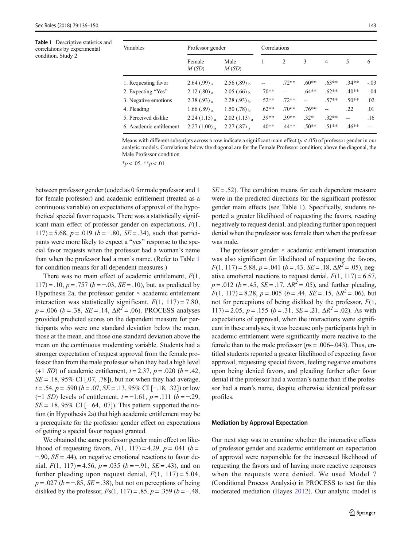<span id="page-7-0"></span>Table 1 Descriptive statistics and correlations by experimental condition, Study 2

| Variables               | Professor gender          |                           | Correlations |         |         |                          |                |        |
|-------------------------|---------------------------|---------------------------|--------------|---------|---------|--------------------------|----------------|--------|
|                         | Female<br>M(SD)           | Male<br>M(SD)             |              | 2       | 3       | 4                        | 5              | 6      |
| 1. Requesting favor     | $2.64(.99)$ <sub>a</sub>  | $2.56(.89)_{h}$           |              | $.72**$ | $.60**$ | $.63**$                  | $.34**$        | $-.03$ |
| 2. Expecting "Yes"      | 2.12(.80)                 | $2.05(.66)$ h             | $.70**$      |         | $.64**$ | $.62**$                  | $.40**$        | $-.04$ |
| 3. Negative emotions    | $2.38(.93)$ <sub>a</sub>  | $2.28(.93)_{h}$           | $.52**$      | $.72**$ | $-$     | $.57**$                  | $.50**$        | .02    |
| 4. Pleading             | 1.66 $(.89)_{a}$          | $1.50(.78)$ h             | $.62**$      | $.70**$ | $.76**$ | $\overline{\phantom{a}}$ | .22            | .01    |
| 5. Perceived dislike    | $2.24(1.15)$ <sub>a</sub> | $2.02(1.13)$ <sub>a</sub> | $39**$       | $.39**$ | $.32*$  | $32**$                   | $\overline{a}$ | .16    |
| 6. Academic entitlement | $2.27(1.00)$ <sub>a</sub> | $2.27(.87)$ <sub>a</sub>  | $.40**$      | $.44**$ | $.50**$ | $.51**$                  | $.46**$        |        |

Means with different subscripts across a row indicate a significant main effect ( $p < .05$ ) of professor gender in our analytic models. Correlations below the diagonal are for the Female Professor condition; above the diagonal, the Male Professor condition

 $**p* < .05.$   $**p* < .01$ 

between professor gender (coded as 0 for male professor and 1 for female professor) and academic entitlement (treated as a continuous variable) on expectations of approval of the hypothetical special favor requests. There was a statistically significant main effect of professor gender on expectations, F(1, 117) = 5.68,  $p = .019$  ( $b = -.80$ ,  $SE = .34$ ), such that participants were more likely to expect a "yes" response to the special favor requests when the professor had a woman's name than when the professor had a man's name. (Refer to Table 1 for condition means for all dependent measures.)

There was no main effect of academic entitlement,  $F(1, 1)$  $117$ ) = .10,  $p = .757$  ( $b = -.03$ ,  $SE = .10$ ), but, as predicted by Hypothesis 2a, the professor gender  $\times$  academic entitlement interaction was statistically significant,  $F(1, 117) = 7.80$ ,  $p = .006$  ( $b = .38$ ,  $SE = .14$ ,  $\Delta R^2 = .06$ ). PROCESS analyses provided predicted scores on the dependent measure for participants who were one standard deviation below the mean, those at the mean, and those one standard deviation above the mean on the continuous moderating variable. Students had a stronger expectation of request approval from the female professor than from the male professor when they had a high level (+1 *SD*) of academic entitlement,  $t = 2.37$ ,  $p = .020$  ( $b = .42$ ,  $SE = .18, 95\% \text{ CI}$  [.07, .78]), but not when they had average,  $t = .54$ ,  $p = .590$  ( $b = .07$ ,  $SE = .13$ , 95% CI [−.18, .32]) or low (−1 SD) levels of entitlement,  $t = -1.61$ ,  $p = .111$  ( $b = -.29$ ,  $SE = .18, 95\% \text{ CI}$  [−.64, .07]). This pattern supported the notion (in Hypothesis 2a) that high academic entitlement may be a prerequisite for the professor gender effect on expectations of getting a special favor request granted.

We obtained the same professor gender main effect on likelihood of requesting favors,  $F(1, 117) = 4.29$ ,  $p = .041$  ( $b =$  $-90$ , SE = .44), on negative emotional reactions to favor denial,  $F(1, 117) = 4.56$ ,  $p = .035$  ( $b = -.91$ ,  $SE = .43$ ), and on further pleading upon request denial,  $F(1, 117) = 5.04$ ,  $p = .027$  ( $b = -.85$ ,  $SE = .38$ ), but not on perceptions of being disliked by the professor,  $Fs(1, 117) = .85$ ,  $p = .359$  ( $b = -.48$ ,  $SE = .52$ ). The condition means for each dependent measure were in the predicted directions for the significant professor gender main effects (see Table 1). Specifically, students reported a greater likelihood of requesting the favors, reacting negatively to request denial, and pleading further upon request denial when the professor was female than when the professor was male.

The professor gender  $\times$  academic entitlement interaction was also significant for likelihood of requesting the favors,  $F(1, 117) = 5.88$ ,  $p = .041$  ( $b = .43$ ,  $SE = .18$ ,  $\Delta R^2 = .05$ ), negative emotional reactions to request denial,  $F(1, 117) = 6.57$ ,  $p = .012$  (b = .45, SE = .17,  $\Delta R^2 = .05$ ), and further pleading,  $F(1, 117) = 8.28$ ,  $p = .005$  ( $b = .44$ ,  $SE = .15$ ,  $\Delta R^2 = .06$ ), but not for perceptions of being disliked by the professor,  $F(1, 1)$  $117$ ) = 2.05, p = .155 (b = .31, SE = .21,  $\Delta R^2$  = .02). As with expectations of approval, when the interactions were significant in these analyses, it was because only participants high in academic entitlement were significantly more reactive to the female than to the male professor ( $ps = .006-.043$ ). Thus, entitled students reported a greater likelihood of expecting favor approval, requesting special favors, feeling negative emotions upon being denied favors, and pleading further after favor denial if the professor had a woman's name than if the professor had a man's name, despite otherwise identical professor profiles.

#### Mediation by Approval Expectation

Our next step was to examine whether the interactive effects of professor gender and academic entitlement on expectation of approval were responsible for the increased likelihood of requesting the favors and of having more reactive responses when the requests were denied. We used Model 7 (Conditional Process Analysis) in PROCESS to test for this moderated mediation (Hayes [2012\)](#page-14-0). Our analytic model is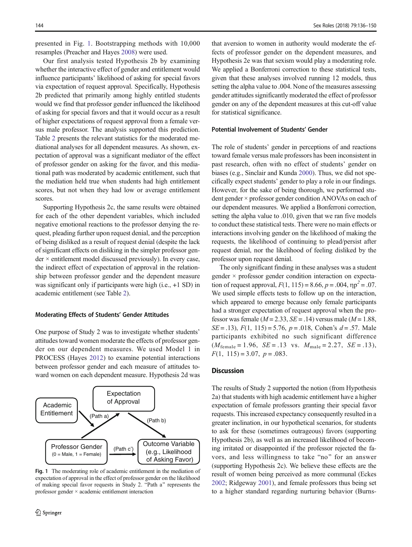presented in Fig. 1. Bootstrapping methods with 10,000 resamples (Preacher and Hayes [2008\)](#page-14-0) were used.

Our first analysis tested Hypothesis 2b by examining whether the interactive effect of gender and entitlement would influence participants' likelihood of asking for special favors via expectation of request approval. Specifically, Hypothesis 2b predicted that primarily among highly entitled students would we find that professor gender influenced the likelihood of asking for special favors and that it would occur as a result of higher expectations of request approval from a female versus male professor. The analysis supported this prediction. Table [2](#page-9-0) presents the relevant statistics for the moderated mediational analyses for all dependent measures. As shown, expectation of approval was a significant mediator of the effect of professor gender on asking for the favor, and this mediational path was moderated by academic entitlement, such that the mediation held true when students had high entitlement scores, but not when they had low or average entitlement scores.

Supporting Hypothesis 2c, the same results were obtained for each of the other dependent variables, which included negative emotional reactions to the professor denying the request, pleading further upon request denial, and the perception of being disliked as a result of request denial (despite the lack of significant effects on disliking in the simpler professor gen $der \times$  entitlement model discussed previously). In every case, the indirect effect of expectation of approval in the relationship between professor gender and the dependent measure was significant only if participants were high (i.e., +1 SD) in academic entitlement (see Table [2](#page-9-0)).

#### Moderating Effects of Students' Gender Attitudes

One purpose of Study 2 was to investigate whether students' attitudes toward women moderate the effects of professor gender on our dependent measures. We used Model 1 in PROCESS (Hayes [2012](#page-14-0)) to examine potential interactions between professor gender and each measure of attitudes toward women on each dependent measure. Hypothesis 2d was



Fig. 1 The moderating role of academic entitlement in the mediation of expectation of approval in the effect of professor gender on the likelihood of making special favor requests in Study 2. "Path a" represents the professor gender × academic entitlement interaction

that aversion to women in authority would moderate the effects of professor gender on the dependent measures, and Hypothesis 2e was that sexism would play a moderating role. We applied a Bonferroni correction to these statistical tests, given that these analyses involved running 12 models, thus setting the alpha value to .004. None of the measures assessing gender attitudes significantly moderated the effect of professor gender on any of the dependent measures at this cut-off value for statistical significance.

#### Potential Involvement of Students' Gender

The role of students' gender in perceptions of and reactions toward female versus male professors has been inconsistent in past research, often with no effect of students' gender on biases (e.g., Sinclair and Kunda [2000\)](#page-14-0). Thus, we did not specifically expect students' gender to play a role in our findings. However, for the sake of being thorough, we performed student gender × professor gender condition ANOVAs on each of our dependent measures. We applied a Bonferroni correction, setting the alpha value to .010, given that we ran five models to conduct these statistical tests. There were no main effects or interactions involving gender on the likelihood of making the requests, the likelihood of continuing to plead/persist after request denial, nor the likelihood of feeling disliked by the professor upon request denial.

The only significant finding in these analyses was a student gender × professor gender condition interaction on expectation of request approval,  $F(1, 115) = 8.66$ ,  $p = .004$ ,  $np^2 = .07$ . We used simple effects tests to follow up on the interaction, which appeared to emerge because only female participants had a stronger expectation of request approval when the professor was female ( $M = 2.33$ ,  $SE = .14$ ) versus male ( $M = 1.88$ ,  $SE = .13$ ,  $F(1, 115) = 5.76$ ,  $p = .018$ , Cohen's  $d = .57$ . Male participants exhibited no such significant difference  $(M_{\text{female}} = 1.96, \ \text{SE} = .13 \ \text{vs.} \ M_{\text{male}} = 2.27, \ \text{SE} = .13),$  $F(1, 115) = 3.07, p = .083.$ 

## **Discussion**

The results of Study 2 supported the notion (from Hypothesis 2a) that students with high academic entitlement have a higher expectation of female professors granting their special favor requests. This increased expectancy consequently resulted in a greater inclination, in our hypothetical scenarios, for students to ask for these (sometimes outrageous) favors (supporting Hypothesis 2b), as well as an increased likelihood of becoming irritated or disappointed if the professor rejected the favors, and less willingness to take "no" for an answer (supporting Hypothesis 2c). We believe these effects are the result of women being perceived as more communal (Eckes [2002;](#page-13-0) Ridgeway [2001](#page-14-0)), and female professors thus being set to a higher standard regarding nurturing behavior (Burns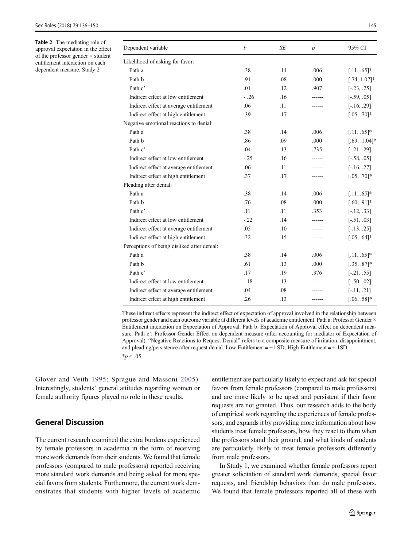<span id="page-9-0"></span>Table 2 The mediating role of approval expectation in the effect of the professor gender × student entitlement interaction on each dependent measure, Study 2

| Dependent variable                          | $\boldsymbol{b}$ | <b>SE</b> | $\boldsymbol{p}$ | 95% CI           |
|---------------------------------------------|------------------|-----------|------------------|------------------|
| Likelihood of asking for favor:             |                  |           |                  |                  |
| Path a                                      | .38              | .14       | .006             | $[.11, .65]$ *   |
| Path b                                      | .91              | .08       | .000             | $[.74, 1.07]$ *  |
| Path c'                                     | .01              | .12       | .907             | $[-.23, .25]$    |
| Indirect effect at low entitlement          | $-.26$           | .16       |                  | $[-.59, .05]$    |
| Indirect effect at average entitlement      | .06              | .11       |                  | $[-.16, .29]$    |
| Indirect effect at high entitlement         | .39              | .17       |                  | $[.05, .70]$ *   |
| Negative emotional reactions to denial:     |                  |           |                  |                  |
| Path a                                      | .38              | .14       | .006             | $[.11, .65]$ *   |
| Path b                                      | .86              | .09       | .000             | $[.69, .1.04]$ * |
| Path c'                                     | .04              | .13       | .735             | $[-.21, .29]$    |
| Indirect effect at low entitlement          | $-.25$           | .16       |                  | $[-.58, .05]$    |
| Indirect effect at average entitlement      | .06              | .11       |                  | $[-.16, .27]$    |
| Indirect effect at high entitlement         | .37              | .17       |                  | $[.05, .70]$ *   |
| Pleading after denial:                      |                  |           |                  |                  |
| Path a                                      | .38              | .14       | .006             | $[.11, .65]$ *   |
| Path b                                      | .76              | .08       | .000             | $[.60, .91]$ *   |
| Path c'                                     | .11              | .11       | .353             | $[-.12, .33]$    |
| Indirect effect at low entitlement          | $-.22$           | .14       |                  | $[-.51, .03]$    |
| Indirect effect at average entitlement      | .05              | .10       |                  | $[-.13, .25]$    |
| Indirect effect at high entitlement         | .32              | .15       |                  | $[.05, .64]$ *   |
| Perceptions of being disliked after denial: |                  |           |                  |                  |
| Path a                                      | .38              | .14       | .006             | $[.11, .65]$ *   |
| Path b                                      | .61              | .13       | .000             | $[.35, .87]$ *   |
| Path c'                                     | .17              | .19       | .376             | $[-.21, .55]$    |
| Indirect effect at low entitlement          | $-18$            | .13       |                  | $[-.50, .02]$    |
| Indirect effect at average entitlement      | .04              | .08       |                  | $[-.11, .21]$    |
| Indirect effect at high entitlement         | .26              | .13       |                  | $[.06, .58]$ *   |

These indirect effects represent the indirect effect of expectation of approval involved in the relationship between professor gender and each outcome variable at different levels of academic entitlement. Path a: Professor Gender × Entitlement interaction on Expectation of Approval. Path b: Expectation of Approval effect on dependent measure. Path c': Professor Gender Effect on dependent measure (after accounting for mediator of Expectation of Approval). "Negative Reactions to Request Denial" refers to a composite measure of irritation, disappointment, and pleading/persistence after request denial. Low Entitlement = −1 SD; High Entitlement = + 1SD  $*_{p}$  < .05

Glover and Veith [1995;](#page-13-0) Sprague and Massoni [2005](#page-14-0)). Interestingly, students' general attitudes regarding women or female authority figures played no role in these results.

# General Discussion

The current research examined the extra burdens experienced by female professors in academia in the form of receiving more work demands from their students. We found that female professors (compared to male professors) reported receiving more standard work demands and being asked for more special favors from students. Furthermore, the current work demonstrates that students with higher levels of academic entitlement are particularly likely to expect and ask for special favors from female professors (compared to male professors) and are more likely to be upset and persistent if their favor requests are not granted. Thus, our research adds to the body of empirical work regarding the experiences of female professors, and expands it by providing more information about how students treat female professors, how they react to them when the professors stand their ground, and what kinds of students are particularly likely to treat female professors differently from male professors.

In Study 1, we examined whether female professors report greater solicitation of standard work demands, special favor requests, and friendship behaviors than do male professors. We found that female professors reported all of these with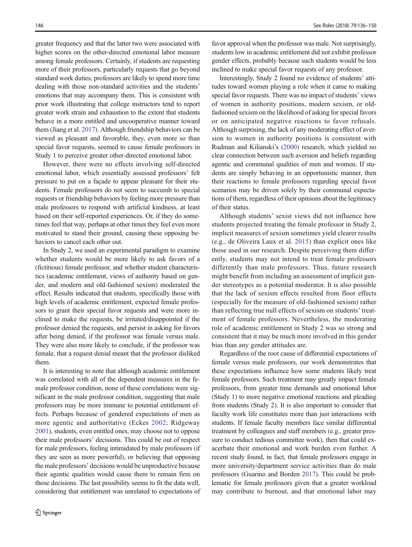greater frequency and that the latter two were associated with higher scores on the other-directed emotional labor measure among female professors. Certainly, if students are requesting more of their professors, particularly requests that go beyond standard work duties, professors are likely to spend more time dealing with those non-standard activities and the students' emotions that may accompany them. This is consistent with prior work illustrating that college instructors tend to report greater work strain and exhaustion to the extent that students behave in a more entitled and uncooperative manner toward them (Jiang et al. [2017\)](#page-14-0). Although friendship behaviors can be viewed as pleasant and favorable, they, even more so than special favor requests, seemed to cause female professors in Study 1 to perceive greater other-directed emotional labor.

However, there were no effects involving self-directed emotional labor, which essentially assessed professors' felt pressure to put on a façade to appear pleasant for their students. Female professors do not seem to succumb to special requests or friendship behaviors by feeling more pressure than male professors to respond with artificial kindness, at least based on their self-reported experiences. Or, if they do sometimes feel that way, perhaps at other times they feel even more motivated to stand their ground, causing these opposing behaviors to cancel each other out.

In Study 2, we used an experimental paradigm to examine whether students would be more likely to ask favors of a (fictitious) female professor, and whether student characteristics (academic entitlement, views of authority based on gender, and modern and old-fashioned sexism) moderated the effect. Results indicated that students, specifically those with high levels of academic entitlement, expected female professors to grant their special favor requests and were more inclined to make the requests, be irritated/disappointed if the professor denied the requests, and persist in asking for favors after being denied, if the professor was female versus male. They were also more likely to conclude, if the professor was female, that a request denial meant that the professor disliked them.

It is interesting to note that although academic entitlement was correlated with all of the dependent measures in the female professor condition, none of these correlations were significant in the male professor condition, suggesting that male professors may be more immune to potential entitlement effects. Perhaps because of gendered expectations of men as more agentic and authoritative (Eckes [2002](#page-13-0); Ridgeway [2001\)](#page-14-0), students, even entitled ones, may choose not to oppose their male professors' decisions. This could be out of respect for male professors, feeling intimidated by male professors (if they are seen as more powerful), or believing that opposing the male professors' decisions would be unproductive because their agentic qualities would cause them to remain firm on those decisions. The last possibility seems to fit the data well, considering that entitlement was unrelated to expectations of favor approval when the professor was male. Not surprisingly, students low in academic entitlement did not exhibit professor gender effects, probably because such students would be less inclined to make special favor requests of any professor.

Interestingly, Study 2 found no evidence of students' attitudes toward women playing a role when it came to making special favor requests. There was no impact of students' views of women in authority positions, modern sexism, or oldfashioned sexism on the likelihood of asking for special favors or on anticipated negative reactions to favor refusals. Although surprising, the lack of any moderating effect of aversion to women in authority positions is consistent with Rudman and Kilianski's ([2000](#page-14-0)) research, which yielded no clear connection between such aversion and beliefs regarding agentic and communal qualities of men and women. If students are simply behaving in an opportunistic manner, then their reactions to female professors regarding special favor scenarios may be driven solely by their communal expectations of them, regardless of their opinions about the legitimacy of their status.

Although students' sexist views did not influence how students projected treating the female professor in Study 2, implicit measures of sexism sometimes yield clearer results (e.g., de Oliveira Laux et al. [2015\)](#page-13-0) than explicit ones like those used in our research. Despite perceiving them differently, students may not intend to treat female professors differently than male professors. Thus, future research might benefit from including an assessment of implicit gender stereotypes as a potential moderator. It is also possible that the lack of sexism effects resulted from floor effects (especially for the measure of old-fashioned sexism) rather than reflecting true null effects of sexism on students' treatment of female professors. Nevertheless, the moderating role of academic entitlement in Study 2 was so strong and consistent that it may be much more involved in this gender bias than any gender attitudes are.

Regardless of the root cause of differential expectations of female versus male professors, our work demonstrates that these expectations influence how some students likely treat female professors. Such treatment may greatly impact female professors, from greater time demands and emotional labor (Study 1) to more negative emotional reactions and pleading from students (Study 2). It is also important to consider that faculty work life constitutes more than just interactions with students. If female faculty members face similar differential treatment by colleagues and staff members (e.g., greater pressure to conduct tedious committee work), then that could exacerbate their emotional and work burden even further. A recent study found, in fact, that female professors engage in more university/department service activities than do male professors (Guarino and Borden [2017](#page-13-0)). This could be problematic for female professors given that a greater workload may contribute to burnout, and that emotional labor may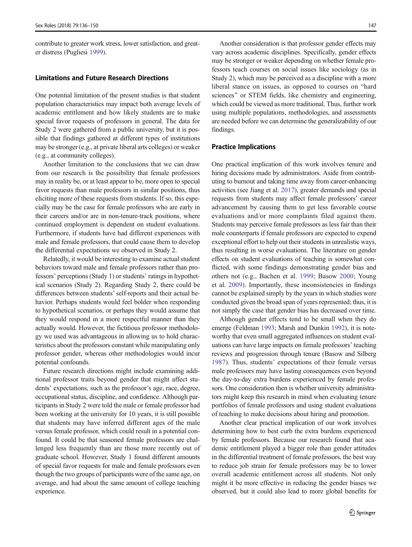contribute to greater work stress, lower satisfaction, and greater distress (Pugliesi [1999\)](#page-14-0).

#### Limitations and Future Research Directions

One potential limitation of the present studies is that student population characteristics may impact both average levels of academic entitlement and how likely students are to make special favor requests of professors in general. The data for Study 2 were gathered from a public university, but it is possible that findings gathered at different types of institutions may be stronger (e.g., at private liberal arts colleges) or weaker (e.g., at community colleges).

Another limitation to the conclusions that we can draw from our research is the possibility that female professors may in reality be, or at least appear to be, more open to special favor requests than male professors in similar positions, thus eliciting more of these requests from students. If so, this especially may be the case for female professors who are early in their careers and/or are in non-tenure-track positions, where continued employment is dependent on student evaluations. Furthermore, if students have had different experiences with male and female professors, that could cause them to develop the differential expectations we observed in Study 2.

Relatedly, it would be interesting to examine actual student behaviors toward male and female professors rather than professors' perceptions (Study 1) or students' ratings in hypothetical scenarios (Study 2). Regarding Study 2, there could be differences between students' self-reports and their actual behavior. Perhaps students would feel bolder when responding to hypothetical scenarios, or perhaps they would assume that they would respond in a more respectful manner than they actually would. However, the fictitious professor methodology we used was advantageous in allowing us to hold characteristics about the professors constant while manipulating only professor gender, whereas other methodologies would incur potential confounds.

Future research directions might include examining additional professor traits beyond gender that might affect students' expectations, such as the professor's age, race, degree, occupational status, discipline, and confidence. Although participants in Study 2 were told the male or female professor had been working at the university for 10 years, it is still possible that students may have inferred different ages of the male versus female professor, which could result in a potential confound. It could be that seasoned female professors are challenged less frequently than are those more recently out of graduate school. However, Study 1 found different amounts of special favor requests for male and female professors even though the two groups of participants were of the same age, on average, and had about the same amount of college teaching experience.

Another consideration is that professor gender effects may vary across academic disciplines. Specifically, gender effects may be stronger or weaker depending on whether female professors teach courses on social issues like sociology (as in Study 2), which may be perceived as a discipline with a more liberal stance on issues, as opposed to courses on "hard sciences" or STEM fields, like chemistry and engineering, which could be viewed as more traditional. Thus, further work using multiple populations, methodologies, and assessments are needed before we can determine the generalizability of our findings.

#### Practice Implications

One practical implication of this work involves tenure and hiring decisions made by administrators. Aside from contributing to burnout and taking time away from career-enhancing activities (see Jiang et al. [2017\)](#page-14-0), greater demands and special requests from students may affect female professors' career advancement by causing them to get less favorable course evaluations and/or more complaints filed against them. Students may perceive female professors as less fair than their male counterparts if female professors are expected to expend exceptional effort to help out their students in unrealistic ways, thus resulting in worse evaluations. The literature on gender effects on student evaluations of teaching is somewhat conflicted, with some findings demonstrating gender bias and others not (e.g., Bachen et al. [1999;](#page-13-0) Basow [2000](#page-13-0); Young et al. [2009](#page-14-0)). Importantly, these inconsistencies in findings cannot be explained simply by the years in which studies were conducted given the broad span of years represented; thus, it is not simply the case that gender bias has decreased over time.

Although gender effects tend to be small when they do emerge (Feldman [1993;](#page-13-0) Marsh and Dunkin [1992\)](#page-14-0), it is noteworthy that even small aggregated influences on student evaluations can have large impacts on female professors' teaching reviews and progression through tenure (Basow and Silberg [1987](#page-13-0)). Thus, students' expectations of their female versus male professors may have lasting consequences even beyond the day-to-day extra burdens experienced by female professors. One consideration then is whether university administrators might keep this research in mind when evaluating tenure portfolios of female professors and using student evaluations of teaching to make decisions about hiring and promotion.

Another clear practical implication of our work involves determining how to best curb the extra burdens experienced by female professors. Because our research found that academic entitlement played a bigger role than gender attitudes in the differential treatment of female professors, the best way to reduce job strain for female professors may be to lower overall academic entitlement across all students. Not only might it be more effective in reducing the gender biases we observed, but it could also lead to more global benefits for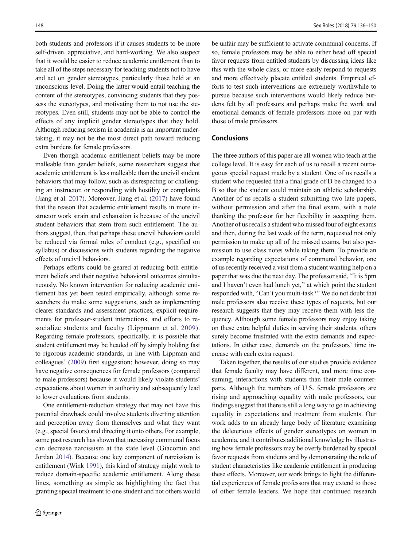both students and professors if it causes students to be more self-driven, appreciative, and hard-working. We also suspect that it would be easier to reduce academic entitlement than to take all of the steps necessary for teaching students not to have and act on gender stereotypes, particularly those held at an unconscious level. Doing the latter would entail teaching the content of the stereotypes, convincing students that they possess the stereotypes, and motivating them to not use the stereotypes. Even still, students may not be able to control the effects of any implicit gender stereotypes that they hold. Although reducing sexism in academia is an important undertaking, it may not be the most direct path toward reducing extra burdens for female professors.

Even though academic entitlement beliefs may be more malleable than gender beliefs, some researchers suggest that academic entitlement is less malleable than the uncivil student behaviors that may follow, such as disrespecting or challenging an instructor, or responding with hostility or complaints (Jiang et al. [2017](#page-14-0)). Moreover, Jiang et al. [\(2017\)](#page-14-0) have found that the reason that academic entitlement results in more instructor work strain and exhaustion is because of the uncivil student behaviors that stem from such entitlement. The authors suggest, then, that perhaps these uncivil behaviors could be reduced via formal rules of conduct (e.g., specified on syllabus) or discussions with students regarding the negative effects of uncivil behaviors.

Perhaps efforts could be geared at reducing both entitlement beliefs and their negative behavioral outcomes simultaneously. No known intervention for reducing academic entitlement has yet been tested empirically, although some researchers do make some suggestions, such as implementing clearer standards and assessment practices, explicit requirements for professor-student interactions, and efforts to re-socialize students and faculty (Lippmann et al. [2009](#page-14-0)). Regarding female professors, specifically, it is possible that student entitlement may be headed off by simply holding fast to rigorous academic standards, in line with Lippman and colleagues' ([2009](#page-14-0)) first suggestion; however, doing so may have negative consequences for female professors (compared to male professors) because it would likely violate students' expectations about women in authority and subsequently lead to lower evaluations from students.

One entitlement-reduction strategy that may not have this potential drawback could involve students diverting attention and perception away from themselves and what they want (e.g., special favors) and directing it onto others. For example, some past research has shown that increasing communal focus can decrease narcissism at the state level (Giacomin and Jordan [2014\)](#page-13-0). Because one key component of narcissism is entitlement (Wink [1991\)](#page-14-0), this kind of strategy might work to reduce domain-specific academic entitlement. Along these lines, something as simple as highlighting the fact that granting special treatment to one student and not others would be unfair may be sufficient to activate communal concerns. If so, female professors may be able to either head off special favor requests from entitled students by discussing ideas like this with the whole class, or more easily respond to requests and more effectively placate entitled students. Empirical efforts to test such interventions are extremely worthwhile to pursue because such interventions would likely reduce burdens felt by all professors and perhaps make the work and emotional demands of female professors more on par with those of male professors.

#### Conclusions

The three authors of this paper are all women who teach at the college level. It is easy for each of us to recall a recent outrageous special request made by a student. One of us recalls a student who requested that a final grade of D be changed to a B so that the student could maintain an athletic scholarship. Another of us recalls a student submitting two late papers, without permission and after the final exam, with a note thanking the professor for her flexibility in accepting them. Another of us recalls a student who missed four of eight exams and then, during the last week of the term, requested not only permission to make up all of the missed exams, but also permission to use class notes while taking them. To provide an example regarding expectations of communal behavior, one of us recently received a visit from a student wanting help on a paper that was due the next day. The professor said, "It is 5pm and I haven't even had lunch yet,^ at which point the student responded with, "Can't you multi-task?" We do not doubt that male professors also receive these types of requests, but our research suggests that they may receive them with less frequency. Although some female professors may enjoy taking on these extra helpful duties in serving their students, others surely become frustrated with the extra demands and expectations. In either case, demands on the professors' time increase with each extra request.

Taken together, the results of our studies provide evidence that female faculty may have different, and more time consuming, interactions with students than their male counterparts. Although the numbers of U.S. female professors are rising and approaching equality with male professors, our findings suggest that there is still a long way to go in achieving equality in expectations and treatment from students. Our work adds to an already large body of literature examining the deleterious effects of gender stereotypes on women in academia, and it contributes additional knowledge by illustrating how female professors may be overly burdened by special favor requests from students and by demonstrating the role of student characteristics like academic entitlement in producing these effects. Moreover, our work brings to light the differential experiences of female professors that may extend to those of other female leaders. We hope that continued research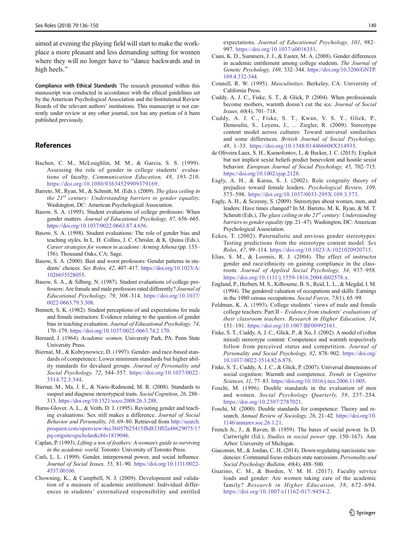<span id="page-13-0"></span>aimed at evening the playing field will start to make the workplace a more pleasant and less demanding setting for women where they will no longer have to "dance backwards and in high heels."

Compliance with Ethical Standards The research presented within this manuscript was conducted in accordance with the ethical guidelines set by the American Psychological Association and the Institutional Review Boards of the relevant authors' institutions. This manuscript is not currently under review at any other journal, nor has any portion of it been published previously.

#### References

- Bachen, C. M., McLoughlin, M. M., & Garcia, S. S. (1999). Assessing the role of gender in college students' evaluations of faculty. Communication Education, 48, 193–210. [https://doi.org/10.1080/03634529909379169.](https://doi.org/10.1080/03634529909379169)
- Barreto, M., Ryan, M., & Schmitt, M. (Eds.). (2009). The glass ceiling in the  $21^{st}$  century: Understanding barriers to gender equality. Washington, DC: American Psychological Association.
- Basow, S. A. (1995). Student evaluations of college professors: When gender matters. Journal of Educational Psychology, 87, 656–665. <https://doi.org/10.1037/0022-0663.87.4.656>.
- Basow, S. A. (1998). Student evaluations: The role of gender bias and teaching styles. In L. H. Collins, J. C. Chrisler, & K. Quina (Eds.), Career strategies for women in academe: Arming Athena (pp. 135– 156). Thousand Oaks, CA: Sage.
- Basow, S. A. (2000). Best and worst professors: Gender patterns in students' choices. Sex Roles, 42, 407–417. [https://doi.org/10.1023/A:](https://doi.org/10.1023/A:1026655528055) [1026655528055.](https://doi.org/10.1023/A:1026655528055)
- Basow, S. A., & Silberg, N. (1987). Student evaluations of college professors: Are female and male professors rated differently? Journal of Educational Psychology, 79, 308–314. [https://doi.org/10.1037/](https://doi.org/10.1037/0022-0663.79.3.308) [0022-0663.79.3.308.](https://doi.org/10.1037/0022-0663.79.3.308)
- Bennett, S. K. (1982). Student perceptions of and expectations for male and female instructors: Evidence relating to the question of gender bias in teaching evaluation. Journal of Educational Psychology, 74, 170–179. [https://doi.org/10.1037/0022-0663.74.2.170.](https://doi.org/10.1037/0022-0663.74.2.170)
- Bernard, J. (1964). Academic women. University Park, PA: Penn State University Press.
- Biernat, M., & Kobrynowicz, D. (1997). Gender- and race-based standards of competence: Lower minimum standards but higher ability standards for devalued groups. Journal of Personality and Social Psychology, 72, 544–557. [https://doi.org/10.1037/0022-](https://doi.org/10.1037/0022-3514.72.3.544) [3514.72.3.544](https://doi.org/10.1037/0022-3514.72.3.544).
- Biernat, M., Ma, J. E., & Nario-Redmond, M. R. (2008). Standards to suspect and diagnose stereotypical traits. Social Cognition, 26, 288– 313. <https://doi.org/10.1521/soco.2008.26.3.288>.
- Burns-Glover, A. L., & Veith, D. J. (1995). Revisiting gender and teaching evaluations: Sex still makes a difference. Journal of Social Behavior and Personality, 10, 69–80. Retrieved from [http://search.](http://search.proquest.com/openview/4ec36057b25415f8d833f02e48629075/1?pq-origsite=gscholar&cbl=1819046) [proquest.com/openview/4ec36057b25415f8d833f02e48629075/1?](http://search.proquest.com/openview/4ec36057b25415f8d833f02e48629075/1?pq-origsite=gscholar&cbl=1819046) [pq-origsite=gscholar&cbl=1819046](http://search.proquest.com/openview/4ec36057b25415f8d833f02e48629075/1?pq-origsite=gscholar&cbl=1819046).
- Caplan, P. (1993). Lifting a ton of feathers: A woman's guide to surviving in the academic world. Toronto: University of Toronto Press.
- Carli, L. L. (1999). Gender, interpersonal power, and social influence. Journal of Social Issues, 55, 81–90. [https://doi.org/10.1111/0022-](https://doi.org/10.1111/0022-4537.00106) [4537.00106](https://doi.org/10.1111/0022-4537.00106).
- Chowning, K., & Campbell, N. J. (2009). Development and validation of a measure of academic entitlement: Individual differences in students' externalized responsibility and entitled

expectations. Journal of Educational Psychology, 101, 982– 997. [https://doi.org/10.1037/a0016351.](https://doi.org/10.1037/a0016351)

- Ciani, K. D., Summers, J. J., & Easter, M. A. (2008). Gender differences in academic entitlement among college students. The Journal of Genetic Psychology, 169, 332–344. [https://doi.org/10.3200/GNTP.](https://doi.org/10.3200/GNTP.169.4.332-344) [169.4.332-344](https://doi.org/10.3200/GNTP.169.4.332-344).
- Connell, R. W. (1995). Masculinities. Berkeley, CA: University of California Press.
- Cuddy, A. J. C., Fiske, S. T., & Glick, P. (2004). When professionals become mothers, warmth doesn't cut the ice. Journal of Social Issues, 60(4), 701–718.
- Cuddy, A. J. C., Fiske, S. T., Kwan, V. S. Y., Glick, P., Demoulin, S., Leyens, J., ... Ziegler, R. (2009). Stereotype content model across cultures: Toward universal similarities and some differences. British Journal of Social Psychology, 48, 1–33. <https://doi.org/10.1348/014466608X314935>.
- de Oliveira Laux, S. H., Ksenofontov, I., & Becker, J. C. (2015). Explicit but not implicit sexist beliefs predict benevolent and hostile sexist behavior. European Journal of Social Psychology, 45, 702–715. [https://doi.org/10.1002/ejsp.2128.](https://doi.org/10.1002/ejsp.2128)
- Eagly, A. H., & Karau, S. J. (2002). Role congruity theory of prejudice toward female leaders. Psychological Review, 109, 573–598. <https://doi.org/10.1037/0033-295X.109.3.573>.
- Eagly, A. H., & Sczesny, S. (2009). Stereotypes about women, men, and leaders: Have times changed? In M. Barreto, M. K. Ryan, & M. T. Schmitt (Eds.), The glass ceiling in the  $21^{st}$  century: Understanding barriers to gender equality (pp. 21–47). Washington, DC: American Psychological Association.
- Eckes, T. (2002). Paternalistic and envious gender stereotypes: Testing predictions from the stereotype content model. Sex Roles, 47, 99–114. [https://doi.org/10.1023/A:1021020920715.](https://doi.org/10.1023/A:1021020920715)
- Elias, S. M., & Loomis, R. J. (2004). The effect of instructor gender and race/ethnicity on gaining compliance in the classroom. Journal of Applied Social Psychology, 34, 937–958. [https://doi.org/10.1111/j.1559-1816.2004.tb02578.x.](https://doi.org/10.1111/j.1559-1816.2004.tb02578.x)
- England, P., Herbert, M. S., Kilbourne, B. S., Reid, L. L., & Megdal, I. M. (1994). The gendered valuation of occupations and skills: Earnings in the 1980 census occupations. Social Forces, 73(1), 65–99.
- Feldman, K. A. (1993). College students' views of male and female college teachers: Part II – Evidence from students' evaluations of their classroom teachers. Research in Higher Education, 34, 151–191. [https://doi.org/10.1007/BF00992161.](https://doi.org/10.1007/BF00992161)
- Fiske, S. T., Cuddy, A. J. C., Glick, P., & Xu, J. (2002). A model of (often mixed) stereotype content: Competence and warmth respectively follow from perceived status and competition. Journal of Personality and Social Psychology, 82, 878-902. [https://doi.org/](https://doi.org/10.1037//0022-3514.82.6.878) [10.1037//0022-3514.82.6.878.](https://doi.org/10.1037//0022-3514.82.6.878)
- Fiske, S. T., Cuddy, A. J. C., & Glick, P. (2007). Universal dimensions of social cognition: Warmth and competence. Trends in Cognitive Sciences, 11, 77–83. [https://doi.org/10.1016/j.tics.2006.11.005.](https://doi.org/10.1016/j.tics.2006.11.005)
- Foschi, M. (1996). Double standards in the evaluation of men and women. Social Psychology Quarterly, 59, 237–254. [https://doi.org/10.2307/2787021.](https://doi.org/10.2307/2787021)
- Foschi, M. (2000). Double standards for competence: Theory and research. Annual Review of Sociology, 26, 21-42. [https://doi.org/10.](https://doi.org/10.1146/annurev.soc.26.1.21) [1146/annurev.soc.26.1.21](https://doi.org/10.1146/annurev.soc.26.1.21).
- French Jr., J., & Raven, B. (1959). The bases of social power. In D. Cartwright (Ed.), Studies in social power (pp. 150–167). Ann Arbor: University of Michigan.
- Giacomin, M., & Jordan, C. H. (2014). Down-regulating narcissistic tendencies: Communal focus reduces state narcissism. Personality and Social Psychology Bulletin, 40(4), 488–500.
- Guarino, C. M., & Borden, V. M. H. (2017). Faculty service loads and gender: Are women taking care of the academic family? Research in Higher Education, 58, 672-694. [https://doi.org/10.1007/s11162-017-9454-2.](https://doi.org/10.1007/s11162-017-9454-2)